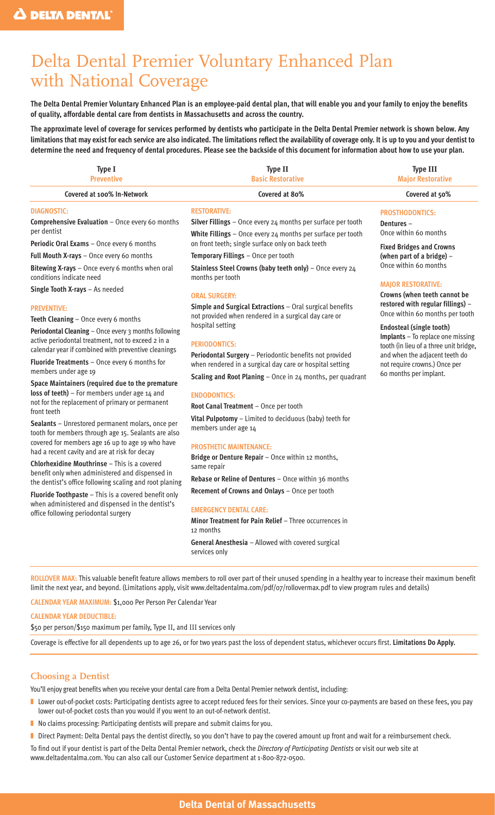# Delta Dental Premier Voluntary Enhanced Plan with National Coverage

**The Delta Dental Premier Voluntary Enhanced Plan is an employee-paid dental plan, that will enable you and your family to enjoy the benefits of quality, affordable dental care from dentists in Massachusetts and across the country.**

**The approximate level of coverage for services performed by dentists who participate in the Delta Dental Premier network is shown below. Any limitations that may exist for each service are also indicated. The limitations reflect the availability of coverage only. It is up to you and your dentist to determine the need and frequency of dental procedures. Please see the backside of this document for information about how to use your plan.**

| Type I<br><b>Preventive</b>                                                                                                                                                                                                                                                                                                                                                                                                                                                                                                                                                                                                                                                                                                                                                                                                                                                                                                                                                                        | Type II<br><b>Basic Restorative</b>                                                                                                                                                                                                                                                                                                                                                                                                                                                                                                                                                                                                                                                                                                                                                                                                                                                              | <b>Type III</b><br><b>Major Restorative</b>                                                                                                                                                                                                                                                                                                                                                                                                                                                               |
|----------------------------------------------------------------------------------------------------------------------------------------------------------------------------------------------------------------------------------------------------------------------------------------------------------------------------------------------------------------------------------------------------------------------------------------------------------------------------------------------------------------------------------------------------------------------------------------------------------------------------------------------------------------------------------------------------------------------------------------------------------------------------------------------------------------------------------------------------------------------------------------------------------------------------------------------------------------------------------------------------|--------------------------------------------------------------------------------------------------------------------------------------------------------------------------------------------------------------------------------------------------------------------------------------------------------------------------------------------------------------------------------------------------------------------------------------------------------------------------------------------------------------------------------------------------------------------------------------------------------------------------------------------------------------------------------------------------------------------------------------------------------------------------------------------------------------------------------------------------------------------------------------------------|-----------------------------------------------------------------------------------------------------------------------------------------------------------------------------------------------------------------------------------------------------------------------------------------------------------------------------------------------------------------------------------------------------------------------------------------------------------------------------------------------------------|
| Covered at 100% In-Network                                                                                                                                                                                                                                                                                                                                                                                                                                                                                                                                                                                                                                                                                                                                                                                                                                                                                                                                                                         | Covered at 80%                                                                                                                                                                                                                                                                                                                                                                                                                                                                                                                                                                                                                                                                                                                                                                                                                                                                                   | Covered at 50%                                                                                                                                                                                                                                                                                                                                                                                                                                                                                            |
| <b>DIAGNOSTIC:</b><br>Comprehensive Evaluation - Once every 60 months<br>per dentist<br>Periodic Oral Exams - Once every 6 months<br>Full Mouth X-rays - Once every 60 months<br>Bitewing X-rays - Once every 6 months when oral<br>conditions indicate need<br>Single Tooth X-rays - As needed<br><b>PREVENTIVE:</b><br>Teeth Cleaning - Once every 6 months<br>Periodontal Cleaning - Once every 3 months following<br>active periodontal treatment, not to exceed 2 in a<br>calendar year if combined with preventive cleanings<br>Fluoride Treatments - Once every 6 months for<br>members under age 19<br>Space Maintainers (required due to the premature<br>loss of teeth) - For members under age 14 and<br>not for the replacement of primary or permanent<br>front teeth<br>Sealants - Unrestored permanent molars, once per<br>tooth for members through age 15. Sealants are also<br>covered for members age 16 up to age 19 who have<br>had a recent cavity and are at risk for decay | <b>RESTORATIVE:</b><br>Silver Fillings - Once every 24 months per surface per tooth<br>White Fillings - Once every 24 months per surface per tooth<br>on front teeth; single surface only on back teeth<br>Temporary Fillings - Once per tooth<br>Stainless Steel Crowns (baby teeth only) - Once every 24<br>months per tooth<br><b>ORAL SURGERY:</b><br>Simple and Surgical Extractions - Oral surgical benefits<br>not provided when rendered in a surgical day care or<br>hospital setting<br><b>PERIODONTICS:</b><br>Periodontal Surgery - Periodontic benefits not provided<br>when rendered in a surgical day care or hospital setting<br>Scaling and Root Planing - Once in 24 months, per quadrant<br><b>ENDODONTICS:</b><br>Root Canal Treatment - Once per tooth<br>Vital Pulpotomy - Limited to deciduous (baby) teeth for<br>members under age 14<br><b>PROSTHETIC MAINTENANCE:</b> | <b>PROSTHODONTICS:</b><br>Dentures-<br>Once within 60 months<br><b>Fixed Bridges and Crowns</b><br>(when part of a bridge) -<br>Once within 60 months<br><b>MAJOR RESTORATIVE:</b><br>Crowns (when teeth cannot be<br>restored with regular fillings) -<br>Once within 60 months per tooth<br><b>Endosteal (single tooth)</b><br>Implants - To replace one missing<br>tooth (in lieu of a three unit bridge,<br>and when the adjacent teeth do<br>not require crowns.) Once per<br>60 months per implant. |
| <b>Chlorhexidine Mouthrinse</b> – This is a covered<br>benefit only when administered and dispensed in<br>the dentist's office following scaling and root planing<br>Fluoride Toothpaste - This is a covered benefit only<br>when administered and dispensed in the dentist's<br>office following periodontal surgery                                                                                                                                                                                                                                                                                                                                                                                                                                                                                                                                                                                                                                                                              | Bridge or Denture Repair - Once within 12 months,<br>same repair<br>Rebase or Reline of Dentures - Once within 36 months<br>Recement of Crowns and Onlays - Once per tooth<br><b>EMERGENCY DENTAL CARE:</b><br>Minor Treatment for Pain Relief - Three occurrences in<br>12 months<br>General Anesthesia - Allowed with covered surgical<br>services only                                                                                                                                                                                                                                                                                                                                                                                                                                                                                                                                        |                                                                                                                                                                                                                                                                                                                                                                                                                                                                                                           |
| <b>CALENDAR YEAR MAXIMUM: \$1,000 Per Person Per Calendar Year</b><br><b>CALENDAR YEAR DEDUCTIBLE:</b><br>\$50 per person/\$150 maximum per family, Type II, and III services only                                                                                                                                                                                                                                                                                                                                                                                                                                                                                                                                                                                                                                                                                                                                                                                                                 | ROLLOVER MAX: This valuable benefit feature allows members to roll over part of their unused spending in a healthy year to increase their maximum benefit<br>limit the next year, and beyond. (Limitations apply, visit www.deltadentalma.com/pdf/o7/rollovermax.pdf to view program rules and details)<br>Coverage is effective for all dependents up to age 26, or for two years past the loss of dependent status, whichever occurs first. Limitations Do Apply.                                                                                                                                                                                                                                                                                                                                                                                                                              |                                                                                                                                                                                                                                                                                                                                                                                                                                                                                                           |
| <b>Choosing a Dentist</b>                                                                                                                                                                                                                                                                                                                                                                                                                                                                                                                                                                                                                                                                                                                                                                                                                                                                                                                                                                          | You'll enjoy great benefits when you receive your dental care from a Delta Dental Premier network dentist, including:                                                                                                                                                                                                                                                                                                                                                                                                                                                                                                                                                                                                                                                                                                                                                                            |                                                                                                                                                                                                                                                                                                                                                                                                                                                                                                           |

- Lower out-of-pocket costs: Participating dentists agree to accept reduced fees for their services. Since your co-payments are based on these fees, you pay lower out-of-pocket costs than you would if you went to an out-of-network dentist.
- No claims processing: Participating dentists will prepare and submit claims for you.
- Direct Payment: Delta Dental pays the dentist directly, so you don't have to pay the covered amount up front and wait for a reimbursement check.

To find out if your dentist is part of the Delta Dental Premier network, check the *Directory of Participating Dentists* or visit our web site at www.deltadentalma.com. You can also call our Customer Service department at 1-800-872-0500.